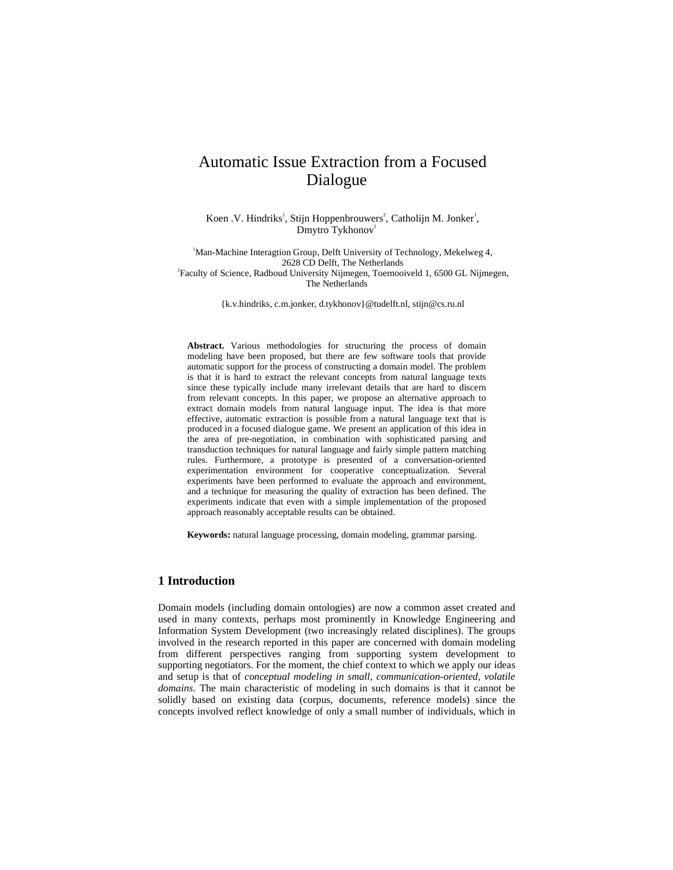# Automatic Issue Extraction from a Focused Dialogue

Koen .V. Hindriks<sup>1</sup>, Stijn Hoppenbrouwers<sup>2</sup>, Catholijn M. Jonker<sup>1</sup>, Dmytro Tykhonov<sup>1</sup>

<sup>1</sup>Man-Machine Interagtion Group, Delft University of Technology, Mekelweg 4, 2628 CD Delft, The Netherlands <sup>2</sup>Faculty of Science, Radboud University Nijmegen, Toernooiveld 1, 6500 GL Nijmegen, The Netherlands

{k.v.hindriks, c.m.jonker, d.tykhonov}@tudelft.nl, stijn@cs.ru.nl

**Abstract.** Various methodologies for structuring the process of domain modeling have been proposed, but there are few software tools that provide automatic support for the process of constructing a domain model. The problem is that it is hard to extract the relevant concepts from natural language texts since these typically include many irrelevant details that are hard to discern from relevant concepts. In this paper, we propose an alternative approach to extract domain models from natural language input. The idea is that more effective, automatic extraction is possible from a natural language text that is produced in a focused dialogue game. We present an application of this idea in the area of pre-negotiation, in combination with sophisticated parsing and transduction techniques for natural language and fairly simple pattern matching rules. Furthermore, a prototype is presented of a conversation-oriented experimentation environment for cooperative conceptualization. Several experiments have been performed to evaluate the approach and environment, and a technique for measuring the quality of extraction has been defined. The experiments indicate that even with a simple implementation of the proposed approach reasonably acceptable results can be obtained.

**Keywords:** natural language processing, domain modeling, grammar parsing.

## **1 Introduction**

Domain models (including domain ontologies) are now a common asset created and used in many contexts, perhaps most prominently in Knowledge Engineering and Information System Development (two increasingly related disciplines). The groups involved in the research reported in this paper are concerned with domain modeling from different perspectives ranging from supporting system development to supporting negotiators. For the moment, the chief context to which we apply our ideas and setup is that of *conceptual modeling in small, communication-oriented, volatile domains*. The main characteristic of modeling in such domains is that it cannot be solidly based on existing data (corpus, documents, reference models) since the concepts involved reflect knowledge of only a small number of individuals, which in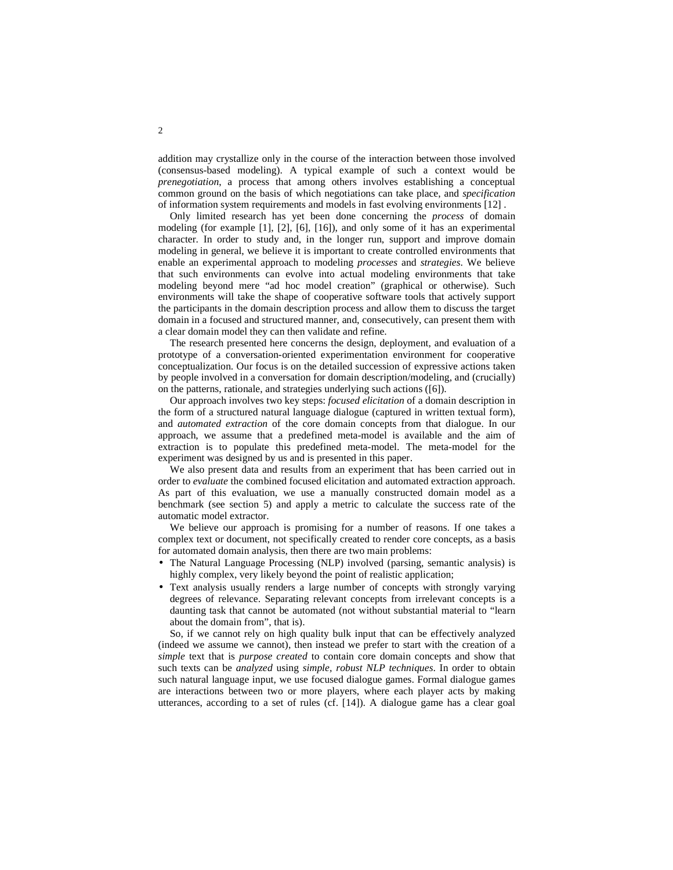addition may crystallize only in the course of the interaction between those involved (consensus-based modeling). A typical example of such a context would be *prenegotiation*, a process that among others involves establishing a conceptual common ground on the basis of which negotiations can take place, and *specification* of information system requirements and models in fast evolving environments [12] .

Only limited research has yet been done concerning the *process* of domain modeling (for example [1], [2], [6], [16]), and only some of it has an experimental character. In order to study and, in the longer run, support and improve domain modeling in general, we believe it is important to create controlled environments that enable an experimental approach to modeling *processes* and *strategies*. We believe that such environments can evolve into actual modeling environments that take modeling beyond mere "ad hoc model creation" (graphical or otherwise). Such environments will take the shape of cooperative software tools that actively support the participants in the domain description process and allow them to discuss the target domain in a focused and structured manner, and, consecutively, can present them with a clear domain model they can then validate and refine.

The research presented here concerns the design, deployment, and evaluation of a prototype of a conversation-oriented experimentation environment for cooperative conceptualization. Our focus is on the detailed succession of expressive actions taken by people involved in a conversation for domain description/modeling, and (crucially) on the patterns, rationale, and strategies underlying such actions ([6]).

Our approach involves two key steps: *focused elicitation* of a domain description in the form of a structured natural language dialogue (captured in written textual form), and *automated extraction* of the core domain concepts from that dialogue. In our approach, we assume that a predefined meta-model is available and the aim of extraction is to populate this predefined meta-model. The meta-model for the experiment was designed by us and is presented in this paper.

We also present data and results from an experiment that has been carried out in order to *evaluate* the combined focused elicitation and automated extraction approach. As part of this evaluation, we use a manually constructed domain model as a benchmark (see section 5) and apply a metric to calculate the success rate of the automatic model extractor.

We believe our approach is promising for a number of reasons. If one takes a complex text or document, not specifically created to render core concepts, as a basis for automated domain analysis, then there are two main problems:

- The Natural Language Processing (NLP) involved (parsing, semantic analysis) is highly complex, very likely beyond the point of realistic application;
- Text analysis usually renders a large number of concepts with strongly varying degrees of relevance. Separating relevant concepts from irrelevant concepts is a daunting task that cannot be automated (not without substantial material to "learn about the domain from", that is).

So, if we cannot rely on high quality bulk input that can be effectively analyzed (indeed we assume we cannot), then instead we prefer to start with the creation of a *simple* text that is *purpose created* to contain core domain concepts and show that such texts can be *analyzed* using *simple, robust NLP techniques*. In order to obtain such natural language input, we use focused dialogue games. Formal dialogue games are interactions between two or more players, where each player acts by making utterances, according to a set of rules (cf. [14]). A dialogue game has a clear goal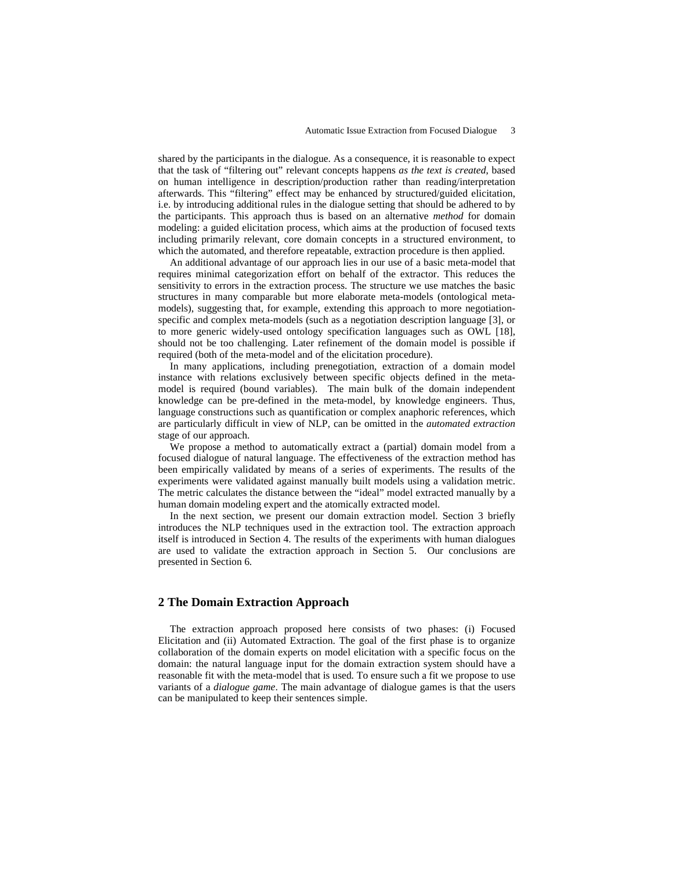shared by the participants in the dialogue. As a consequence, it is reasonable to expect that the task of "filtering out" relevant concepts happens *as the text is created*, based on human intelligence in description/production rather than reading/interpretation afterwards. This "filtering" effect may be enhanced by structured/guided elicitation, i.e. by introducing additional rules in the dialogue setting that should be adhered to by the participants. This approach thus is based on an alternative *method* for domain modeling: a guided elicitation process, which aims at the production of focused texts including primarily relevant, core domain concepts in a structured environment, to which the automated, and therefore repeatable, extraction procedure is then applied.

An additional advantage of our approach lies in our use of a basic meta-model that requires minimal categorization effort on behalf of the extractor. This reduces the sensitivity to errors in the extraction process. The structure we use matches the basic structures in many comparable but more elaborate meta-models (ontological metamodels), suggesting that, for example, extending this approach to more negotiationspecific and complex meta-models (such as a negotiation description language [3], or to more generic widely-used ontology specification languages such as OWL [18], should not be too challenging. Later refinement of the domain model is possible if required (both of the meta-model and of the elicitation procedure).

In many applications, including prenegotiation, extraction of a domain model instance with relations exclusively between specific objects defined in the metamodel is required (bound variables). The main bulk of the domain independent knowledge can be pre-defined in the meta-model, by knowledge engineers. Thus, language constructions such as quantification or complex anaphoric references, which are particularly difficult in view of NLP, can be omitted in the *automated extraction*  stage of our approach.

We propose a method to automatically extract a (partial) domain model from a focused dialogue of natural language. The effectiveness of the extraction method has been empirically validated by means of a series of experiments. The results of the experiments were validated against manually built models using a validation metric. The metric calculates the distance between the "ideal" model extracted manually by a human domain modeling expert and the atomically extracted model.

In the next section, we present our domain extraction model. Section 3 briefly introduces the NLP techniques used in the extraction tool. The extraction approach itself is introduced in Section 4. The results of the experiments with human dialogues are used to validate the extraction approach in Section 5. Our conclusions are presented in Section 6.

## **2 The Domain Extraction Approach**

The extraction approach proposed here consists of two phases: (i) Focused Elicitation and (ii) Automated Extraction. The goal of the first phase is to organize collaboration of the domain experts on model elicitation with a specific focus on the domain: the natural language input for the domain extraction system should have a reasonable fit with the meta-model that is used. To ensure such a fit we propose to use variants of a *dialogue game*. The main advantage of dialogue games is that the users can be manipulated to keep their sentences simple.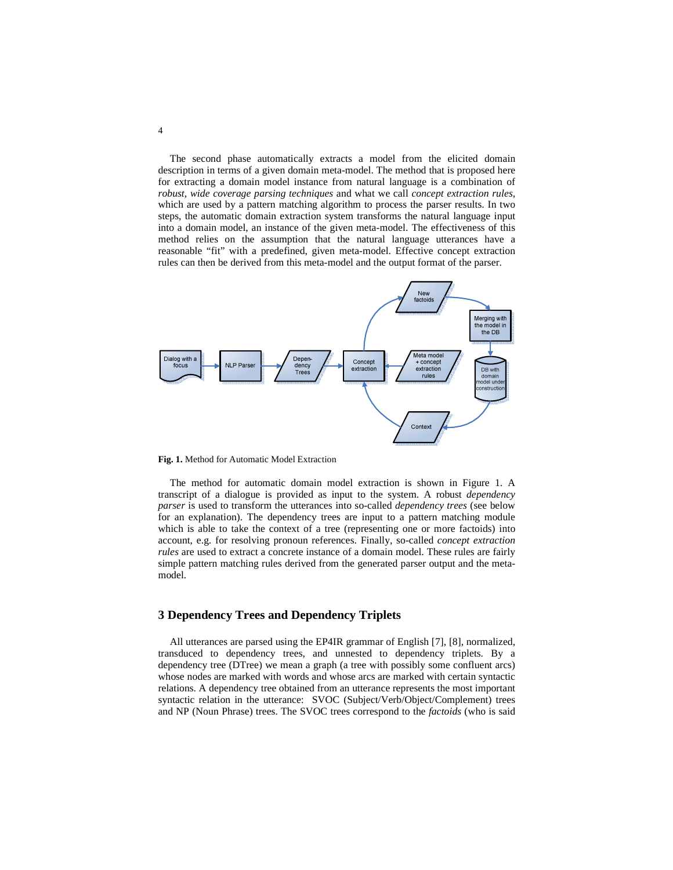The second phase automatically extracts a model from the elicited domain description in terms of a given domain meta-model. The method that is proposed here for extracting a domain model instance from natural language is a combination of *robust, wide coverage parsing techniques* and what we call *concept extraction rules*, which are used by a pattern matching algorithm to process the parser results. In two steps, the automatic domain extraction system transforms the natural language input into a domain model, an instance of the given meta-model. The effectiveness of this method relies on the assumption that the natural language utterances have a reasonable "fit" with a predefined, given meta-model. Effective concept extraction rules can then be derived from this meta-model and the output format of the parser.



**Fig. 1.** Method for Automatic Model Extraction

The method for automatic domain model extraction is shown in Figure 1. A transcript of a dialogue is provided as input to the system. A robust *dependency parser* is used to transform the utterances into so-called *dependency trees* (see below for an explanation). The dependency trees are input to a pattern matching module which is able to take the context of a tree (representing one or more factoids) into account, e.g. for resolving pronoun references. Finally, so-called *concept extraction rules* are used to extract a concrete instance of a domain model. These rules are fairly simple pattern matching rules derived from the generated parser output and the metamodel.

# **3 Dependency Trees and Dependency Triplets**

All utterances are parsed using the EP4IR grammar of English [7], [8], normalized, transduced to dependency trees, and unnested to dependency triplets. By a dependency tree (DTree) we mean a graph (a tree with possibly some confluent arcs) whose nodes are marked with words and whose arcs are marked with certain syntactic relations. A dependency tree obtained from an utterance represents the most important syntactic relation in the utterance: SVOC (Subject/Verb/Object/Complement) trees and NP (Noun Phrase) trees. The SVOC trees correspond to the *factoids* (who is said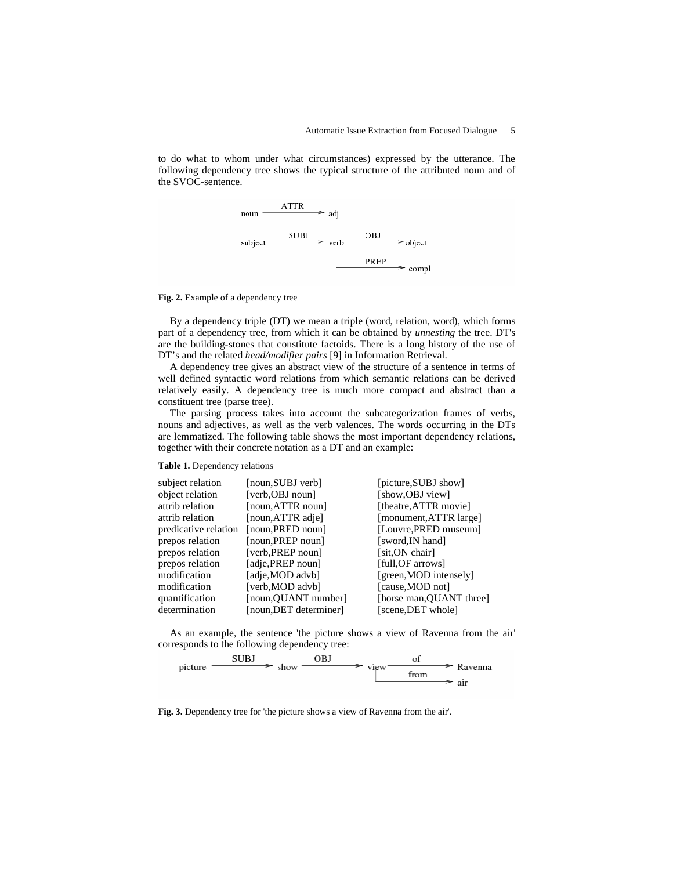to do what to whom under what circumstances) expressed by the utterance. The following dependency tree shows the typical structure of the attributed noun and of the SVOC-sentence.



**Fig. 2.** Example of a dependency tree

By a dependency triple (DT) we mean a triple (word, relation, word), which forms part of a dependency tree, from which it can be obtained by *unnesting* the tree. DT's are the building-stones that constitute factoids. There is a long history of the use of DT's and the related *head/modifier pairs* [9] in Information Retrieval.

A dependency tree gives an abstract view of the structure of a sentence in terms of well defined syntactic word relations from which semantic relations can be derived relatively easily. A dependency tree is much more compact and abstract than a constituent tree (parse tree).

The parsing process takes into account the subcategorization frames of verbs, nouns and adjectives, as well as the verb valences. The words occurring in the DTs are lemmatized. The following table shows the most important dependency relations, together with their concrete notation as a DT and an example:

#### **Table 1.** Dependency relations

| subject relation     | [noun, SUBJ verb]     | [picture, SUBJ show]     |
|----------------------|-----------------------|--------------------------|
| object relation      | [verb,OBJ noun]       | [show,OBJ view]          |
| attrib relation      | [noun, ATTR noun]     | [theatre, ATTR movie]    |
| attrib relation      | [noun, ATTR adje]     | [monument, ATTR large]   |
| predicative relation | [noun, PRED noun]     | [Louvre, PRED museum]    |
| prepos relation      | [noun, PREP noun]     | [sword, IN hand]         |
| prepos relation      | [verb, PREP noun]     | [sit,ON chair]           |
| prepos relation      | [adje, PREP noun]     | [full,OF arrows]         |
| modification         | [adje, MOD advb]      | [green, MOD intensely]   |
| modification         | [verb, MOD advb]      | [cause, MOD not]         |
| quantification       | [noun, QUANT number]  | [horse man, QUANT three] |
| determination        | [noun,DET determiner] | [scene,DET whole]        |

As an example, the sentence 'the picture shows a view of Ravenna from the air'



**Fig. 3.** Dependency tree for 'the picture shows a view of Ravenna from the air'.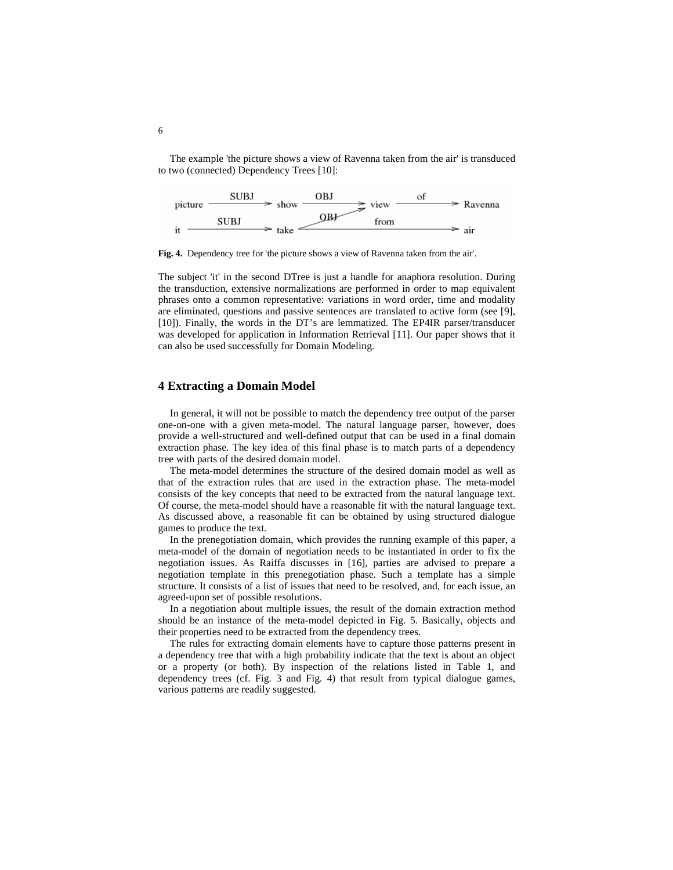The example 'the picture shows a view of Ravenna taken from the air' is transduced to two (connected) Dependency Trees [10]:



**Fig. 4.** Dependency tree for 'the picture shows a view of Ravenna taken from the air'.

The subject 'it' in the second DTree is just a handle for anaphora resolution. During the transduction, extensive normalizations are performed in order to map equivalent phrases onto a common representative: variations in word order, time and modality are eliminated, questions and passive sentences are translated to active form (see [9], [10]). Finally, the words in the DT's are lemmatized. The EP4IR parser/transducer was developed for application in Information Retrieval [11]. Our paper shows that it can also be used successfully for Domain Modeling.

## **4 Extracting a Domain Model**

In general, it will not be possible to match the dependency tree output of the parser one-on-one with a given meta-model. The natural language parser, however, does provide a well-structured and well-defined output that can be used in a final domain extraction phase. The key idea of this final phase is to match parts of a dependency tree with parts of the desired domain model.

The meta-model determines the structure of the desired domain model as well as that of the extraction rules that are used in the extraction phase. The meta-model consists of the key concepts that need to be extracted from the natural language text. Of course, the meta-model should have a reasonable fit with the natural language text. As discussed above, a reasonable fit can be obtained by using structured dialogue games to produce the text.

In the prenegotiation domain, which provides the running example of this paper, a meta-model of the domain of negotiation needs to be instantiated in order to fix the negotiation issues. As Raiffa discusses in [16], parties are advised to prepare a negotiation template in this prenegotiation phase. Such a template has a simple structure. It consists of a list of issues that need to be resolved, and, for each issue, an agreed-upon set of possible resolutions.

In a negotiation about multiple issues, the result of the domain extraction method should be an instance of the meta-model depicted in Fig. 5. Basically, objects and their properties need to be extracted from the dependency trees.

The rules for extracting domain elements have to capture those patterns present in a dependency tree that with a high probability indicate that the text is about an object or a property (or both). By inspection of the relations listed in Table 1, and dependency trees (cf. Fig. 3 and Fig. 4) that result from typical dialogue games, various patterns are readily suggested.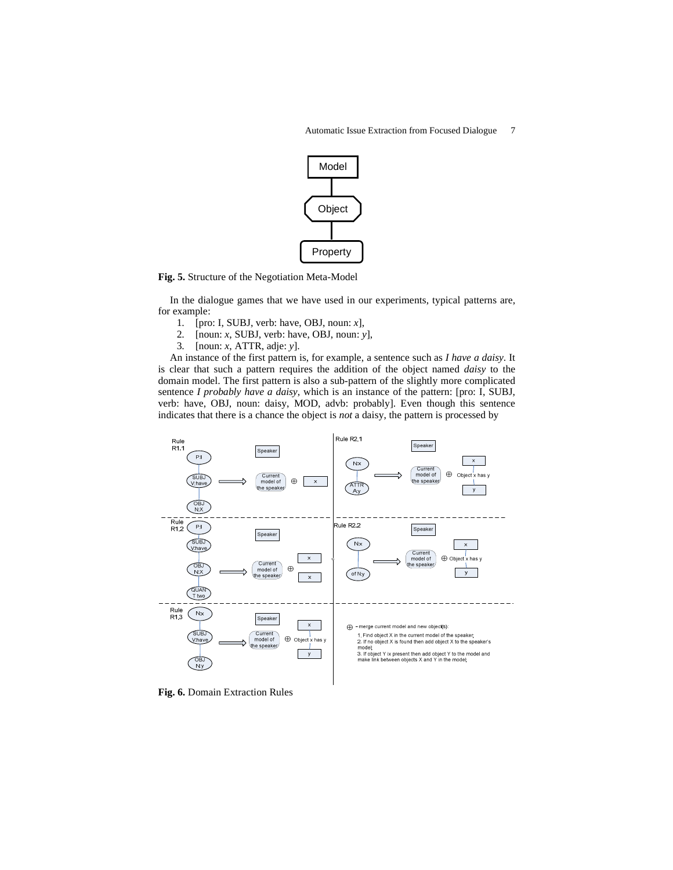

**Fig. 5.** Structure of the Negotiation Meta-Model

In the dialogue games that we have used in our experiments, typical patterns are, for example:

- 1. [pro: I, SUBJ, verb: have, OBJ, noun: *x*],
- 2. [noun: *x*, SUBJ, verb: have, OBJ, noun: *y*],
- 3. [noun: *x*, ATTR, adje: *y*].

An instance of the first pattern is, for example, a sentence such as *I have a daisy*. It is clear that such a pattern requires the addition of the object named *daisy* to the domain model. The first pattern is also a sub-pattern of the slightly more complicated sentence *I probably have a daisy*, which is an instance of the pattern: [pro: I, SUBJ, verb: have, OBJ, noun: daisy, MOD, advb: probably]. Even though this sentence indicates that there is a chance the object is *not* a daisy, the pattern is processed by



**Fig. 6.** Domain Extraction Rules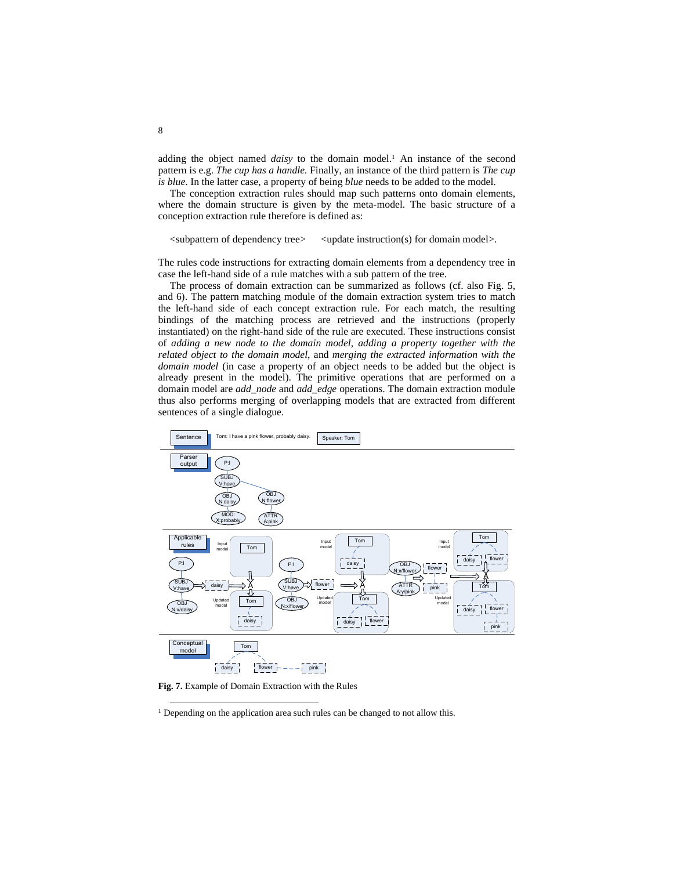adding the object named *daisy* to the domain model.<sup>1</sup> An instance of the second pattern is e.g. *The cup has a handle.* Finally, an instance of the third pattern is *The cup is blue*. In the latter case, a property of being *blue* needs to be added to the model.

The conception extraction rules should map such patterns onto domain elements, where the domain structure is given by the meta-model. The basic structure of a conception extraction rule therefore is defined as:

 $\leq$ subpattern of dependency tree $\geq \hat{a}$   $\leq$ update instruction(s) for domain model $\geq$ .

The rules code instructions for extracting domain elements from a dependency tree in case the left-hand side of a rule matches with a sub pattern of the tree.

The process of domain extraction can be summarized as follows (cf. also Fig. 5, and 6). The pattern matching module of the domain extraction system tries to match the left-hand side of each concept extraction rule. For each match, the resulting bindings of the matching process are retrieved and the instructions (properly instantiated) on the right-hand side of the rule are executed. These instructions consist of *adding a new node to the domain model*, *adding a property together with the related object to the domain model*, and *merging the extracted information with the domain model* (in case a property of an object needs to be added but the object is already present in the model). The primitive operations that are performed on a domain model are *add\_node* and *add\_edge* operations. The domain extraction module thus also performs merging of overlapping models that are extracted from different sentences of a single dialogue.



**Fig. 7.** Example of Domain Extraction with the Rules

j

<sup>&</sup>lt;sup>1</sup> Depending on the application area such rules can be changed to not allow this.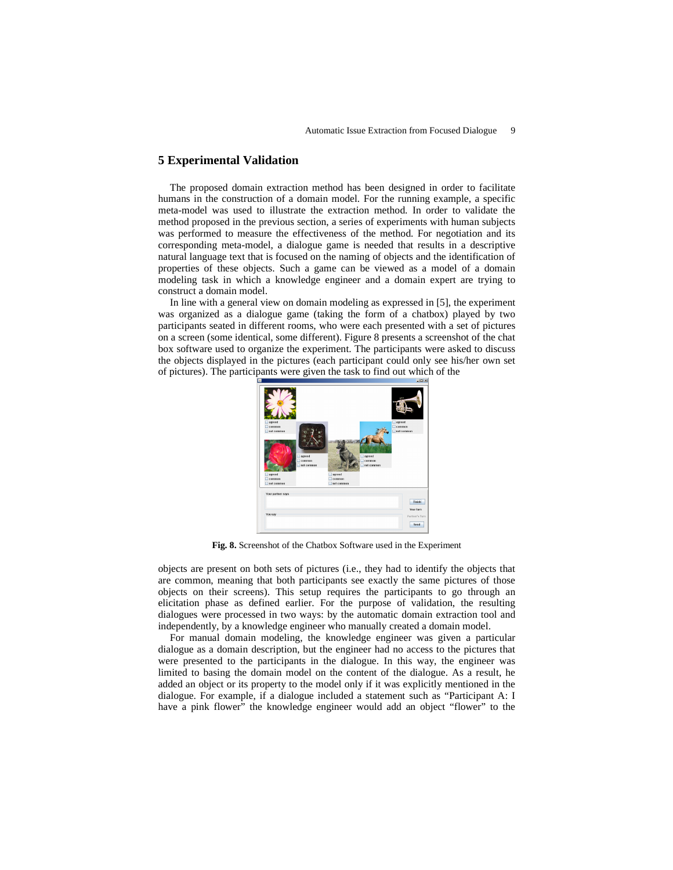# **5 Experimental Validation**

The proposed domain extraction method has been designed in order to facilitate humans in the construction of a domain model. For the running example, a specific meta-model was used to illustrate the extraction method. In order to validate the method proposed in the previous section, a series of experiments with human subjects was performed to measure the effectiveness of the method. For negotiation and its corresponding meta-model, a dialogue game is needed that results in a descriptive natural language text that is focused on the naming of objects and the identification of properties of these objects. Such a game can be viewed as a model of a domain modeling task in which a knowledge engineer and a domain expert are trying to construct a domain model.

In line with a general view on domain modeling as expressed in [5], the experiment was organized as a dialogue game (taking the form of a chatbox) played by two participants seated in different rooms, who were each presented with a set of pictures on a screen (some identical, some different). Figure 8 presents a screenshot of the chat box software used to organize the experiment. The participants were asked to discuss the objects displayed in the pictures (each participant could only see his/her own set of pictures). The participants were given the task to find out which of the



**Fig. 8.** Screenshot of the Chatbox Software used in the Experiment

objects are present on both sets of pictures (i.e., they had to identify the objects that are common, meaning that both participants see exactly the same pictures of those objects on their screens). This setup requires the participants to go through an elicitation phase as defined earlier. For the purpose of validation, the resulting dialogues were processed in two ways: by the automatic domain extraction tool and independently, by a knowledge engineer who manually created a domain model.

For manual domain modeling, the knowledge engineer was given a particular dialogue as a domain description, but the engineer had no access to the pictures that were presented to the participants in the dialogue. In this way, the engineer was limited to basing the domain model on the content of the dialogue. As a result, he added an object or its property to the model only if it was explicitly mentioned in the dialogue. For example, if a dialogue included a statement such as "Participant A: I have a pink flower" the knowledge engineer would add an object "flower" to the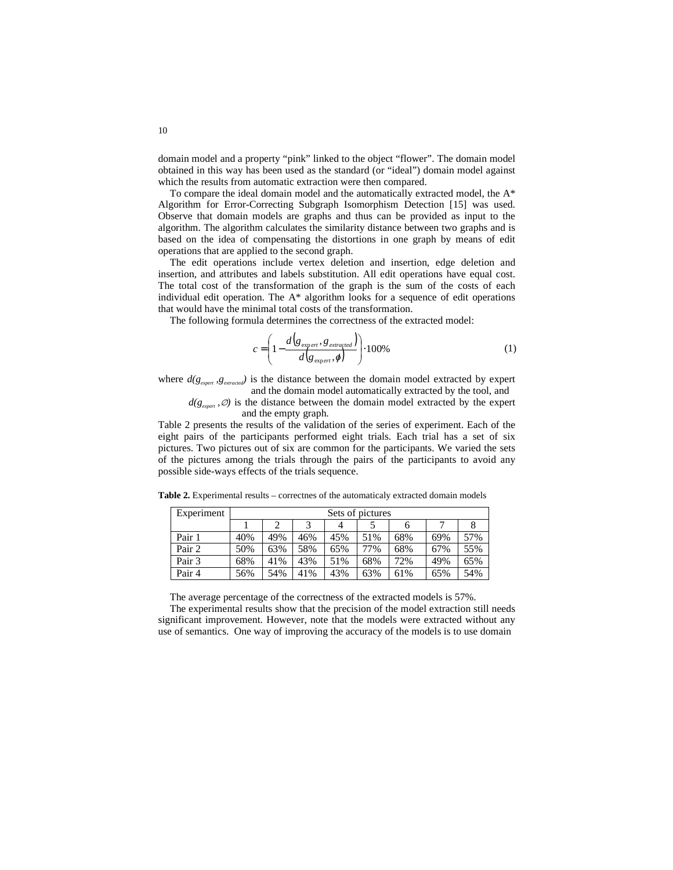domain model and a property "pink" linked to the object "flower". The domain model obtained in this way has been used as the standard (or "ideal") domain model against which the results from automatic extraction were then compared.

To compare the ideal domain model and the automatically extracted model, the A\* Algorithm for Error-Correcting Subgraph Isomorphism Detection [15] was used. Observe that domain models are graphs and thus can be provided as input to the algorithm. The algorithm calculates the similarity distance between two graphs and is based on the idea of compensating the distortions in one graph by means of edit operations that are applied to the second graph.

The edit operations include vertex deletion and insertion, edge deletion and insertion, and attributes and labels substitution. All edit operations have equal cost. The total cost of the transformation of the graph is the sum of the costs of each individual edit operation. The A\* algorithm looks for a sequence of edit operations that would have the minimal total costs of the transformation.

The following formula determines the correctness of the extracted model:

$$
c = \left(1 - \frac{d(g_{\text{exper}}, g_{\text{extracted}})}{d(g_{\text{exper}}, \phi)}\right) \cdot 100\%
$$
\n
$$
\tag{1}
$$

where  $d(g_{\text{exper}}, g_{\text{extracted}})$  is the distance between the domain model extracted by expert and the domain model automatically extracted by the tool, and

 $d(g_{\text{exper}}, \mathcal{O})$  is the distance between the domain model extracted by the expert and the empty graph.

Table 2 presents the results of the validation of the series of experiment. Each of the eight pairs of the participants performed eight trials. Each trial has a set of six pictures. Two pictures out of six are common for the participants. We varied the sets of the pictures among the trials through the pairs of the participants to avoid any possible side-ways effects of the trials sequence.

| Experiment | Sets of pictures |     |     |     |     |     |     |     |  |
|------------|------------------|-----|-----|-----|-----|-----|-----|-----|--|
|            |                  |     |     |     |     | h   |     | 8   |  |
| Pair 1     | 40%              | 49% | 46% | 45% | 51% | 68% | 69% | 57% |  |
| Pair 2     | 50%              | 63% | 58% | 65% | 77% | 68% | 67% | 55% |  |
| Pair 3     | 68%              | 41% | 43% | 51% | 68% | 72% | 49% | 65% |  |
| Pair 4     | 56%              | 54% | 41% | 43% | 63% | 61% | 65% | 54% |  |

**Table 2.** Experimental results – correctnes of the automaticaly extracted domain models

The average percentage of the correctness of the extracted models is 57%.

The experimental results show that the precision of the model extraction still needs significant improvement. However, note that the models were extracted without any use of semantics. One way of improving the accuracy of the models is to use domain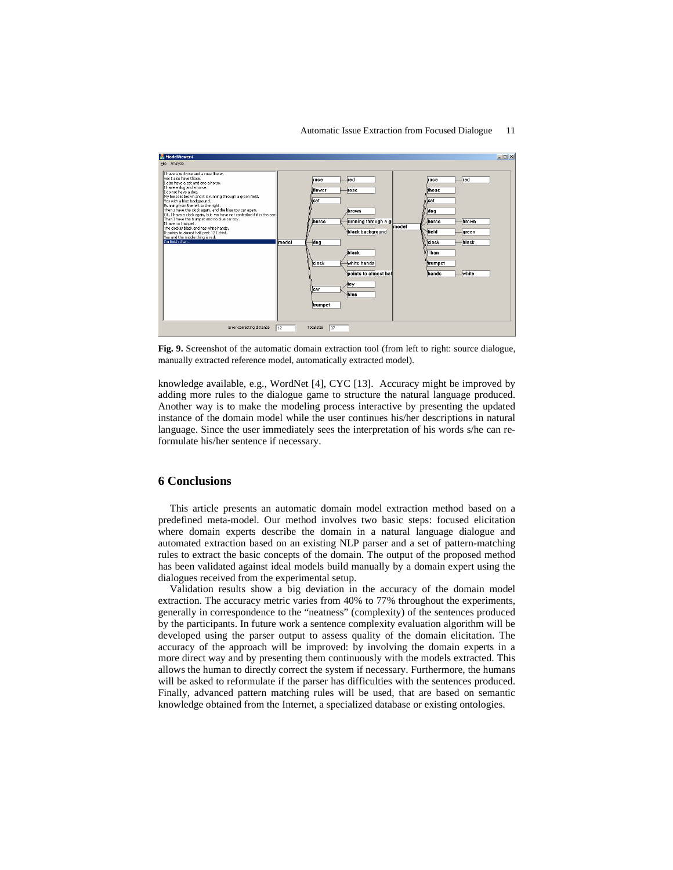

**Fig. 9.** Screenshot of the automatic domain extraction tool (from left to right: source dialogue, manually extracted reference model, automatically extracted model).

knowledge available, e.g., WordNet [4], CYC [13]. Accuracy might be improved by adding more rules to the dialogue game to structure the natural language produced. Another way is to make the modeling process interactive by presenting the updated instance of the domain model while the user continues his/her descriptions in natural language. Since the user immediately sees the interpretation of his words s/he can reformulate his/her sentence if necessary.

### **6 Conclusions**

This article presents an automatic domain model extraction method based on a predefined meta-model. Our method involves two basic steps: focused elicitation where domain experts describe the domain in a natural language dialogue and automated extraction based on an existing NLP parser and a set of pattern-matching rules to extract the basic concepts of the domain. The output of the proposed method has been validated against ideal models build manually by a domain expert using the dialogues received from the experimental setup.

Validation results show a big deviation in the accuracy of the domain model extraction. The accuracy metric varies from 40% to 77% throughout the experiments, generally in correspondence to the "neatness" (complexity) of the sentences produced by the participants. In future work a sentence complexity evaluation algorithm will be developed using the parser output to assess quality of the domain elicitation. The accuracy of the approach will be improved: by involving the domain experts in a more direct way and by presenting them continuously with the models extracted. This allows the human to directly correct the system if necessary. Furthermore, the humans will be asked to reformulate if the parser has difficulties with the sentences produced. Finally, advanced pattern matching rules will be used, that are based on semantic knowledge obtained from the Internet, a specialized database or existing ontologies.